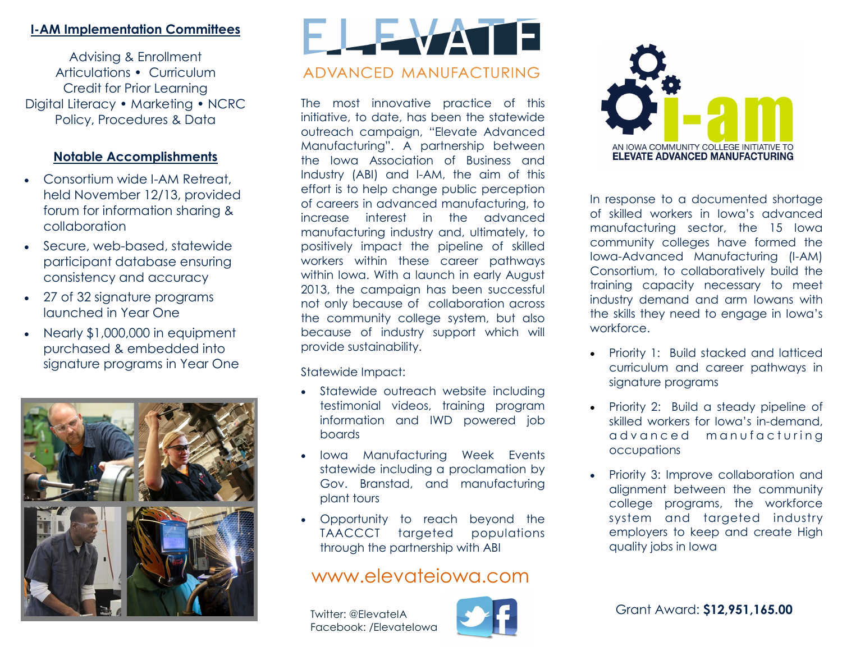### **I-AM Implementation Committees**

Advising & Enrollment Articulations • Curriculum Credit for Prior Learning Digital Literacy • Marketing • NCRC Policy, Procedures & Data

### **Notable Accomplishments**

- Consortium wide I-AM Retreat, held November 12/13, provided forum for information sharing & collaboration
- Secure, web-based, statewide participant database ensuring consistency and accuracy
- 27 of 32 signature programs launched in Year One
- Nearly \$1,000,000 in equipment purchased & embedded into signature programs in Year One



# FLEVAT ADVANCED MANUFACTURING

The most innovative practice of this initiative, to date, has been the statewide outreach campaign, "Elevate Advanced Manufacturing". A partnership between the Iowa Association of Business and Industry (ABI) and I-AM, the aim of this effort is to help change public perception of careers in advanced manufacturing, to increase interest in the advanced manufacturing industry and, ultimately, to positively impact the pipeline of skilled workers within these career pathways within Iowa. With a launch in early August 2013, the campaign has been successful not only because of collaboration across the community college system, but also because of industry support which will provide sustainability.

Statewide Impact:

- Statewide outreach website including testimonial videos, training program information and IWD powered job boards
- Iowa Manufacturing Week Events statewide including a proclamation by Gov. Branstad, and manufacturing plant tours
- Opportunity to reach beyond the TAACCCT targeted populations through the partnership with ABI

## www.elevateiowa.com

Facebook: /ElevateIowa





In response to a documented shortage of skilled workers in Iowa's advanced manufacturing sector, the 15 Iowa community colleges have formed the Iowa-Advanced Manufacturing (I-AM) Consortium, to collaboratively build the training capacity necessary to meet industry demand and arm Iowans with the skills they need to engage in Iowa's workforce.

- Priority 1: Build stacked and latticed curriculum and career pathways in signature programs
- Priority 2: Build a steady pipeline of skilled workers for Iowa's in-demand, advanced manufacturing occupations
- Priority 3: Improve collaboration and alignment between the community college programs, the workforce system and targeted industry employers to keep and create High quality jobs in Iowa